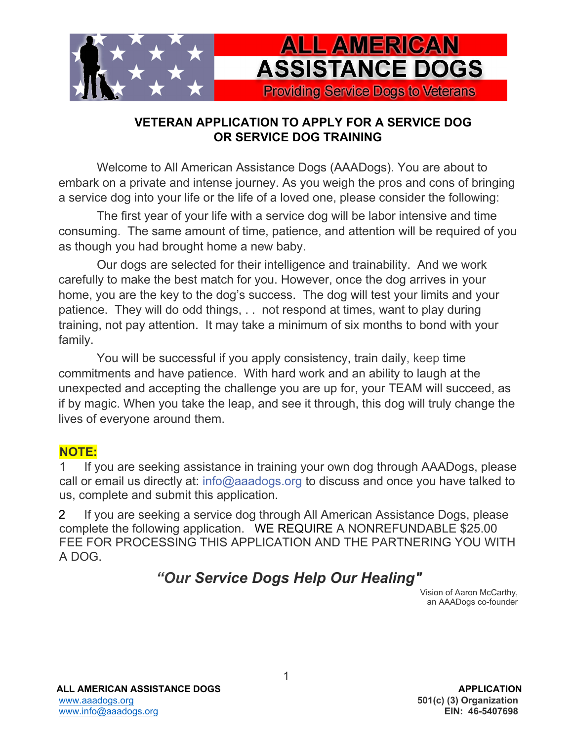

## **VETERAN APPLICATION TO APPLY FOR A SERVICE DOG OR SERVICE DOG TRAINING**

Welcome to All American Assistance Dogs (AAADogs). You are about to embark on a private and intense journey. As you weigh the pros and cons of bringing a service dog into your life or the life of a loved one, please consider the following:

The first year of your life with a service dog will be labor intensive and time consuming. The same amount of time, patience, and attention will be required of you as though you had brought home a new baby.

Our dogs are selected for their intelligence and trainability. And we work carefully to make the best match for you. However, once the dog arrives in your home, you are the key to the dog's success. The dog will test your limits and your patience. They will do odd things, . . not respond at times, want to play during training, not pay attention. It may take a minimum of six months to bond with your family.

You will be successful if you apply consistency, train daily, keep time commitments and have patience. With hard work and an ability to laugh at the unexpected and accepting the challenge you are up for, your TEAM will succeed, as if by magic. When you take the leap, and see it through, this dog will truly change the lives of everyone around them.

### **NOTE:**

 1 If you are seeking assistance in training your own dog through AAADogs, please call or email us directly at: info@aaadogs.org to discuss and once you have talked to us, complete and submit this application.

2 If you are seeking a service dog through All American Assistance Dogs, please complete the following application. WE REQUIRE A NONREFUNDABLE \$25.00 FEE FOR PROCESSING THIS APPLICATION AND THE PARTNERING YOU WITH A DOG.

# *"Our Service Dogs Help Our Healing"*

Vision of Aaron McCarthy, an AAADogs co-founder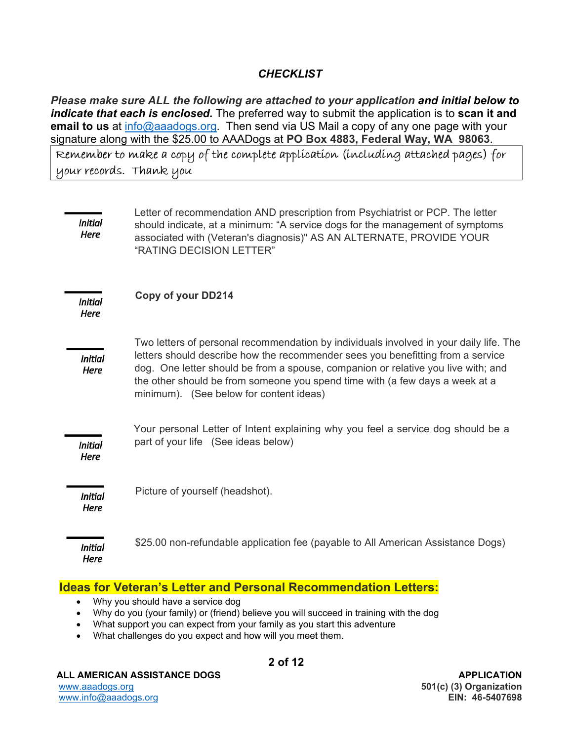#### *CHECKLIST*

*Please make sure ALL the following are attached to your application and initial below to indicate that each is enclosed.* The preferred way to submit the application is to **scan it and email to us** at info@aaadogs.org. Then send via US Mail a copy of any one page with your signature along with the \$25.00 to AAADogs at **PO Box 4883, Federal Way, WA 98063**. Remember to make a copy of the complete application (including attached pages) for your records. Thank you

| Initial<br><b>Here</b>        | Letter of recommendation AND prescription from Psychiatrist or PCP. The letter<br>should indicate, at a minimum: "A service dogs for the management of symptoms<br>associated with (Veteran's diagnosis)" AS AN ALTERNATE, PROVIDE YOUR<br>"RATING DECISION LETTER"                                                                                                                       |
|-------------------------------|-------------------------------------------------------------------------------------------------------------------------------------------------------------------------------------------------------------------------------------------------------------------------------------------------------------------------------------------------------------------------------------------|
| <b>Initial</b><br><b>Here</b> | <b>Copy of your DD214</b>                                                                                                                                                                                                                                                                                                                                                                 |
| <b>Initial</b><br>Here        | Two letters of personal recommendation by individuals involved in your daily life. The<br>letters should describe how the recommender sees you benefitting from a service<br>dog. One letter should be from a spouse, companion or relative you live with; and<br>the other should be from someone you spend time with (a few days a week at a<br>minimum). (See below for content ideas) |
| <b>Initial</b><br>Here        | Your personal Letter of Intent explaining why you feel a service dog should be a<br>part of your life (See ideas below)                                                                                                                                                                                                                                                                   |
| <b>Initial</b><br><b>Here</b> | Picture of yourself (headshot).                                                                                                                                                                                                                                                                                                                                                           |
| <b>Initial</b><br>Here        | \$25.00 non-refundable application fee (payable to All American Assistance Dogs)                                                                                                                                                                                                                                                                                                          |

#### **Ideas for Veteran's Letter and Personal Recommendation Letters:**

- Why you should have a service dog
- Why do you (your family) or (friend) believe you will succeed in training with the dog
- What support you can expect from your family as you start this adventure
- What challenges do you expect and how will you meet them.

#### ALL AMERICAN ASSISTANCE DOGS APPLICATION

**2 of 12**

İ.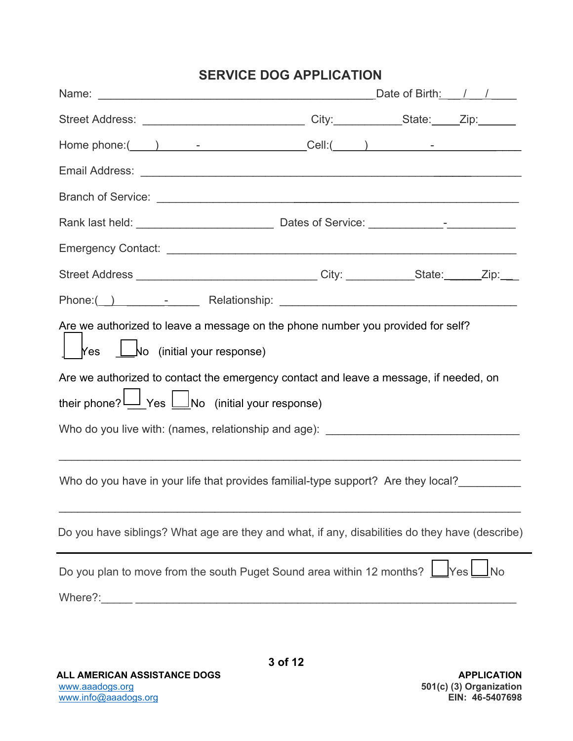|                                                                                                                                                                                                                                                                                                                                                 | <b>SERVICE DOG APPLICATION</b> |                  |
|-------------------------------------------------------------------------------------------------------------------------------------------------------------------------------------------------------------------------------------------------------------------------------------------------------------------------------------------------|--------------------------------|------------------|
|                                                                                                                                                                                                                                                                                                                                                 |                                |                  |
|                                                                                                                                                                                                                                                                                                                                                 |                                |                  |
| Home phone:(___) _______________________Cell:(____) ____________________________                                                                                                                                                                                                                                                                |                                |                  |
|                                                                                                                                                                                                                                                                                                                                                 |                                |                  |
|                                                                                                                                                                                                                                                                                                                                                 |                                |                  |
|                                                                                                                                                                                                                                                                                                                                                 |                                |                  |
|                                                                                                                                                                                                                                                                                                                                                 |                                |                  |
| Street Address ________________________________City: ____________State: ______Zip:___                                                                                                                                                                                                                                                           |                                |                  |
|                                                                                                                                                                                                                                                                                                                                                 |                                |                  |
| Are we authorized to leave a message on the phone number you provided for self?<br>Kes Lo (initial your response)<br>Are we authorized to contact the emergency contact and leave a message, if needed, on<br>their phone? Ves UNo (initial your response)<br>Who do you live with: (names, relationship and age): ____________________________ |                                |                  |
| Who do you have in your life that provides familial-type support? Are they local?                                                                                                                                                                                                                                                               |                                |                  |
| Do you have siblings? What age are they and what, if any, disabilities do they have (describe)                                                                                                                                                                                                                                                  |                                |                  |
| Do you plan to move from the south Puget Sound area within 12 months?                                                                                                                                                                                                                                                                           |                                | Yes<br><b>No</b> |

ALL AMERICAN ASSISTANCE DOGS APPLICATION www.aaadogs.org **501(c) (3) Organization**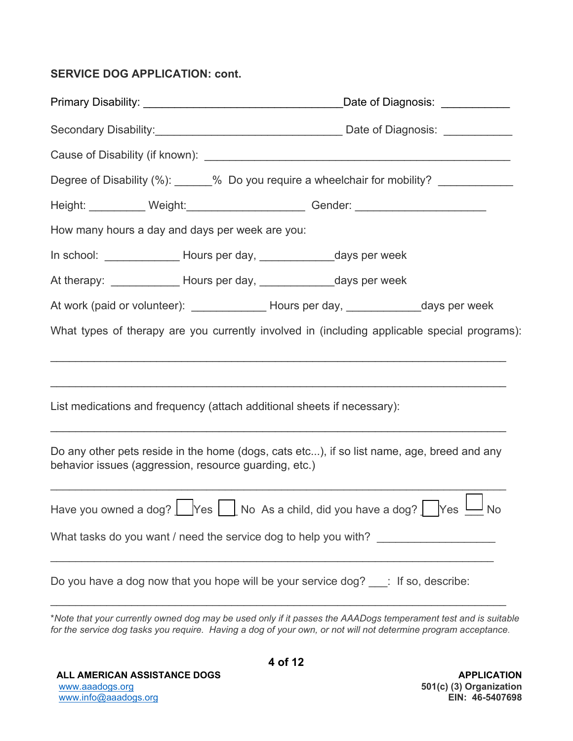### **SERVICE DOG APPLICATION: cont.**

|                                                                              | Degree of Disability (%): ______% Do you require a wheelchair for mobility? ___________      |
|------------------------------------------------------------------------------|----------------------------------------------------------------------------------------------|
|                                                                              | Height: ___________ Weight: ______________________ Gender: _____________________             |
| How many hours a day and days per week are you:                              |                                                                                              |
| In school: __________________ Hours per day, __________________days per week |                                                                                              |
| At therapy: ______________ Hours per day, ________________ days per week     |                                                                                              |
|                                                                              | At work (paid or volunteer): ________________ Hours per day, ______________days per week     |
|                                                                              | What types of therapy are you currently involved in (including applicable special programs): |
| List medications and frequency (attach additional sheets if necessary):      |                                                                                              |
| behavior issues (aggression, resource guarding, etc.)                        | Do any other pets reside in the home (dogs, cats etc), if so list name, age, breed and any   |
|                                                                              | Have you owned a dog? Ves No As a child, did you have a dog? Nes U No                        |
|                                                                              | What tasks do you want / need the service dog to help you with? ________________             |
|                                                                              | Do you have a dog now that you hope will be your service dog? ___: If so, describe:          |

\**Note that your currently owned dog may be used only if it passes the AAADogs temperament test and is suitable for the service dog tasks you require. Having a dog of your own, or not will not determine program acceptance.*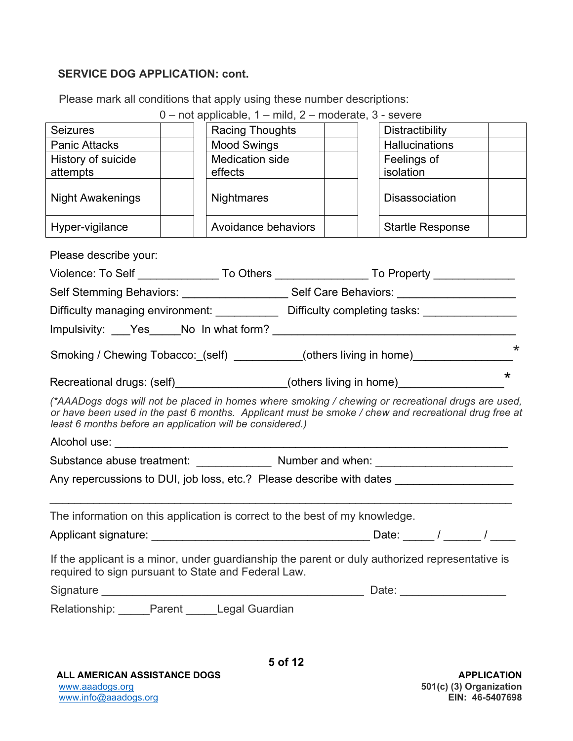### **SERVICE DOG APPLICATION: cont.**

Please mark all conditions that apply using these number descriptions:

|                                                                                                                                                                                                                                                                         |                                                                                  | 0 - not applicable, 1 - mild, 2 - moderate, 3 - severe                                               |  |  |                         |  |         |
|-------------------------------------------------------------------------------------------------------------------------------------------------------------------------------------------------------------------------------------------------------------------------|----------------------------------------------------------------------------------|------------------------------------------------------------------------------------------------------|--|--|-------------------------|--|---------|
| <b>Seizures</b>                                                                                                                                                                                                                                                         |                                                                                  | Racing Thoughts                                                                                      |  |  | Distractibility         |  |         |
| Panic Attacks                                                                                                                                                                                                                                                           |                                                                                  | Mood Swings                                                                                          |  |  | <b>Hallucinations</b>   |  |         |
| History of suicide                                                                                                                                                                                                                                                      |                                                                                  | Medication side                                                                                      |  |  | Feelings of             |  |         |
| attempts                                                                                                                                                                                                                                                                |                                                                                  | effects                                                                                              |  |  | isolation               |  |         |
| <b>Night Awakenings</b>                                                                                                                                                                                                                                                 |                                                                                  | <b>Nightmares</b>                                                                                    |  |  | <b>Disassociation</b>   |  |         |
| Hyper-vigilance                                                                                                                                                                                                                                                         |                                                                                  | Avoidance behaviors                                                                                  |  |  | <b>Startle Response</b> |  |         |
| Please describe your:                                                                                                                                                                                                                                                   |                                                                                  |                                                                                                      |  |  |                         |  |         |
|                                                                                                                                                                                                                                                                         |                                                                                  | Violence: To Self _________________To Others __________________To Property _____________             |  |  |                         |  |         |
|                                                                                                                                                                                                                                                                         |                                                                                  | Self Stemming Behaviors: ____________________Self Care Behaviors: ______________                     |  |  |                         |  |         |
|                                                                                                                                                                                                                                                                         |                                                                                  | Difficulty managing environment: _____________ Difficulty completing tasks: ________________         |  |  |                         |  |         |
|                                                                                                                                                                                                                                                                         |                                                                                  |                                                                                                      |  |  |                         |  |         |
|                                                                                                                                                                                                                                                                         |                                                                                  | Smoking / Chewing Tobacco:_(self) __________(others living in home)_____________                     |  |  |                         |  | $\star$ |
|                                                                                                                                                                                                                                                                         |                                                                                  | Recreational drugs: (self)__________________(others living in home)_____________                     |  |  |                         |  | $\star$ |
| (*AAADogs dogs will not be placed in homes where smoking / chewing or recreational drugs are used,<br>or have been used in the past 6 months. Applicant must be smoke / chew and recreational drug free at<br>least 6 months before an application will be considered.) |                                                                                  |                                                                                                      |  |  |                         |  |         |
|                                                                                                                                                                                                                                                                         |                                                                                  |                                                                                                      |  |  |                         |  |         |
|                                                                                                                                                                                                                                                                         | Substance abuse treatment: ________________ Number and when: ___________________ |                                                                                                      |  |  |                         |  |         |
|                                                                                                                                                                                                                                                                         |                                                                                  | Any repercussions to DUI, job loss, etc.? Please describe with dates _______________________________ |  |  |                         |  |         |
|                                                                                                                                                                                                                                                                         |                                                                                  |                                                                                                      |  |  |                         |  |         |
| The information on this application is correct to the best of my knowledge.                                                                                                                                                                                             |                                                                                  |                                                                                                      |  |  |                         |  |         |
| Date: $\qquad$ /                                                                                                                                                                                                                                                        |                                                                                  |                                                                                                      |  |  |                         |  |         |
| required to sign pursuant to State and Federal Law.                                                                                                                                                                                                                     |                                                                                  | If the applicant is a minor, under guardianship the parent or duly authorized representative is      |  |  |                         |  |         |
|                                                                                                                                                                                                                                                                         |                                                                                  |                                                                                                      |  |  |                         |  |         |
| Relationship: _____Parent _____Legal Guardian                                                                                                                                                                                                                           |                                                                                  |                                                                                                      |  |  |                         |  |         |
|                                                                                                                                                                                                                                                                         |                                                                                  |                                                                                                      |  |  |                         |  |         |
|                                                                                                                                                                                                                                                                         |                                                                                  |                                                                                                      |  |  |                         |  |         |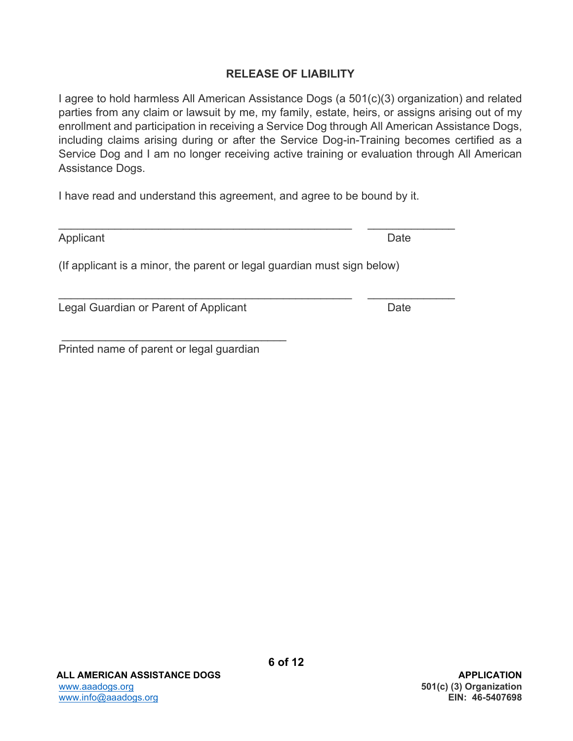### **RELEASE OF LIABILITY**

I agree to hold harmless All American Assistance Dogs (a 501(c)(3) organization) and related parties from any claim or lawsuit by me, my family, estate, heirs, or assigns arising out of my enrollment and participation in receiving a Service Dog through All American Assistance Dogs, including claims arising during or after the Service Dog-in-Training becomes certified as a Service Dog and I am no longer receiving active training or evaluation through All American Assistance Dogs.

I have read and understand this agreement, and agree to be bound by it.

Applicant Date

(If applicant is a minor, the parent or legal guardian must sign below)

Legal Guardian or Parent of Applicant Date Date

Printed name of parent or legal guardian

 $\frac{1}{2}$  ,  $\frac{1}{2}$  ,  $\frac{1}{2}$  ,  $\frac{1}{2}$  ,  $\frac{1}{2}$  ,  $\frac{1}{2}$  ,  $\frac{1}{2}$  ,  $\frac{1}{2}$  ,  $\frac{1}{2}$  ,  $\frac{1}{2}$  ,  $\frac{1}{2}$  ,  $\frac{1}{2}$  ,  $\frac{1}{2}$  ,  $\frac{1}{2}$  ,  $\frac{1}{2}$  ,  $\frac{1}{2}$  ,  $\frac{1}{2}$  ,  $\frac{1}{2}$  ,  $\frac{1$ 

 $\mathcal{L}_\text{max}$  , and the contribution of the contribution of the contribution of the contribution of the contribution of the contribution of the contribution of the contribution of the contribution of the contribution of t

 $\frac{1}{2}$  ,  $\frac{1}{2}$  ,  $\frac{1}{2}$  ,  $\frac{1}{2}$  ,  $\frac{1}{2}$  ,  $\frac{1}{2}$  ,  $\frac{1}{2}$  ,  $\frac{1}{2}$  ,  $\frac{1}{2}$  ,  $\frac{1}{2}$  ,  $\frac{1}{2}$  ,  $\frac{1}{2}$  ,  $\frac{1}{2}$  ,  $\frac{1}{2}$  ,  $\frac{1}{2}$  ,  $\frac{1}{2}$  ,  $\frac{1}{2}$  ,  $\frac{1}{2}$  ,  $\frac{1$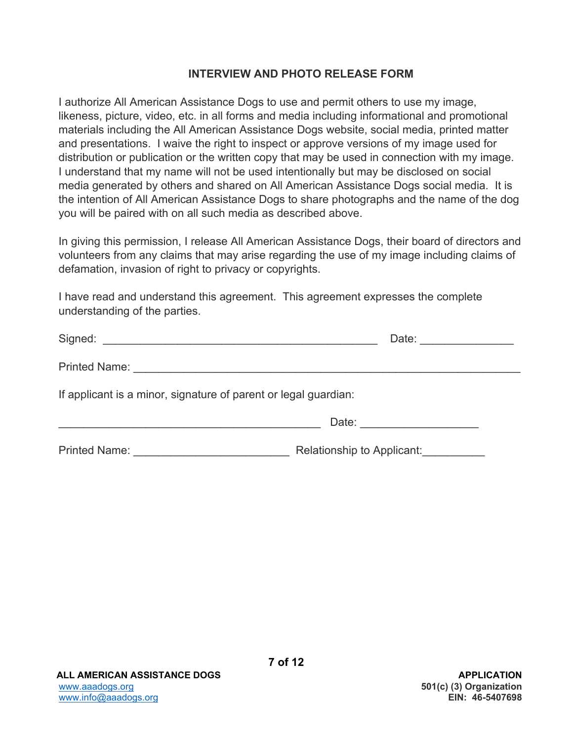### **INTERVIEW AND PHOTO RELEASE FORM**

I authorize All American Assistance Dogs to use and permit others to use my image, likeness, picture, video, etc. in all forms and media including informational and promotional materials including the All American Assistance Dogs website, social media, printed matter and presentations. I waive the right to inspect or approve versions of my image used for distribution or publication or the written copy that may be used in connection with my image. I understand that my name will not be used intentionally but may be disclosed on social media generated by others and shared on All American Assistance Dogs social media. It is the intention of All American Assistance Dogs to share photographs and the name of the dog you will be paired with on all such media as described above.

In giving this permission, I release All American Assistance Dogs, their board of directors and volunteers from any claims that may arise regarding the use of my image including claims of defamation, invasion of right to privacy or copyrights.

I have read and understand this agreement. This agreement expresses the complete understanding of the parties.

|                                                                 | Date: <u>__________</u>    |  |
|-----------------------------------------------------------------|----------------------------|--|
|                                                                 |                            |  |
| If applicant is a minor, signature of parent or legal guardian: |                            |  |
|                                                                 | Date: _________________    |  |
| <b>Printed Name:</b>                                            | Relationship to Applicant: |  |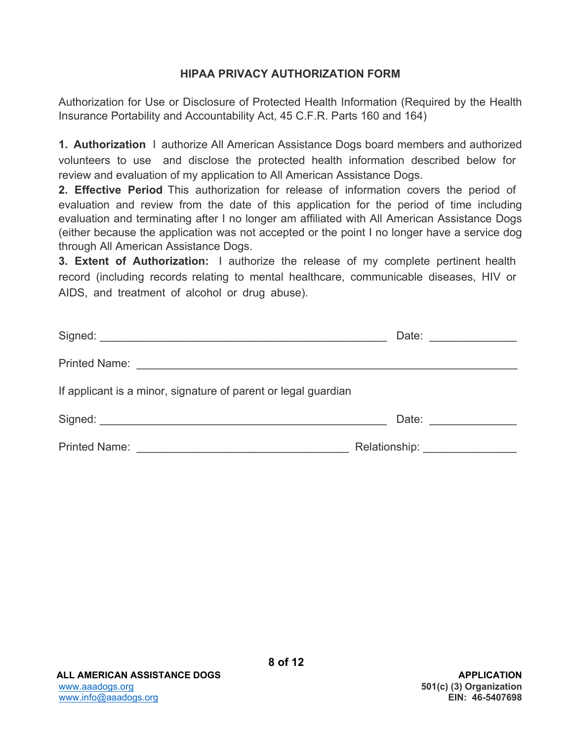### **HIPAA PRIVACY AUTHORIZATION FORM**

Authorization for Use or Disclosure of Protected Health Information (Required by the Health Insurance Portability and Accountability Act, 45 C.F.R. Parts 160 and 164)

**1. Authorization** I authorize All American Assistance Dogs board members and authorized volunteers to use and disclose the protected health information described below for review and evaluation of my application to All American Assistance Dogs.

**2. Effective Period** This authorization for release of information covers the period of evaluation and review from the date of this application for the period of time including evaluation and terminating after I no longer am affiliated with All American Assistance Dogs (either because the application was not accepted or the point I no longer have a service dog through All American Assistance Dogs.

**3. Extent of Authorization:** I authorize the release of my complete pertinent health record (including records relating to mental healthcare, communicable diseases, HIV or AIDS, and treatment of alcohol or drug abuse).

|                                                                | Date: __________   |
|----------------------------------------------------------------|--------------------|
|                                                                |                    |
| If applicant is a minor, signature of parent or legal guardian |                    |
|                                                                | Date: ____________ |
| <b>Printed Name:</b>                                           | Relationship: __   |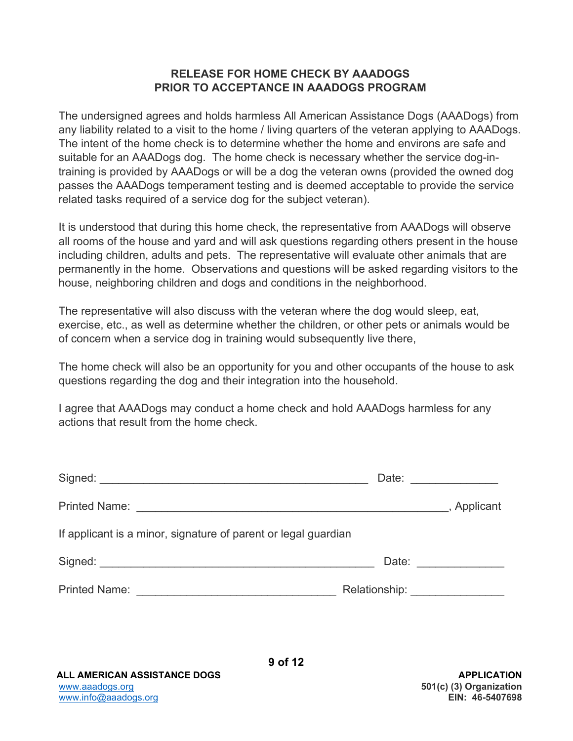#### **RELEASE FOR HOME CHECK BY AAADOGS PRIOR TO ACCEPTANCE IN AAADOGS PROGRAM**

The undersigned agrees and holds harmless All American Assistance Dogs (AAADogs) from any liability related to a visit to the home / living quarters of the veteran applying to AAADogs. The intent of the home check is to determine whether the home and environs are safe and suitable for an AAADogs dog. The home check is necessary whether the service dog-intraining is provided by AAADogs or will be a dog the veteran owns (provided the owned dog passes the AAADogs temperament testing and is deemed acceptable to provide the service related tasks required of a service dog for the subject veteran).

It is understood that during this home check, the representative from AAADogs will observe all rooms of the house and yard and will ask questions regarding others present in the house including children, adults and pets. The representative will evaluate other animals that are permanently in the home. Observations and questions will be asked regarding visitors to the house, neighboring children and dogs and conditions in the neighborhood.

The representative will also discuss with the veteran where the dog would sleep, eat, exercise, etc., as well as determine whether the children, or other pets or animals would be of concern when a service dog in training would subsequently live there,

The home check will also be an opportunity for you and other occupants of the house to ask questions regarding the dog and their integration into the household.

I agree that AAADogs may conduct a home check and hold AAADogs harmless for any actions that result from the home check.

|                                                                | Date: 2008                      |
|----------------------------------------------------------------|---------------------------------|
|                                                                | , Applicant                     |
| If applicant is a minor, signature of parent or legal guardian |                                 |
|                                                                |                                 |
|                                                                | Relationship: _________________ |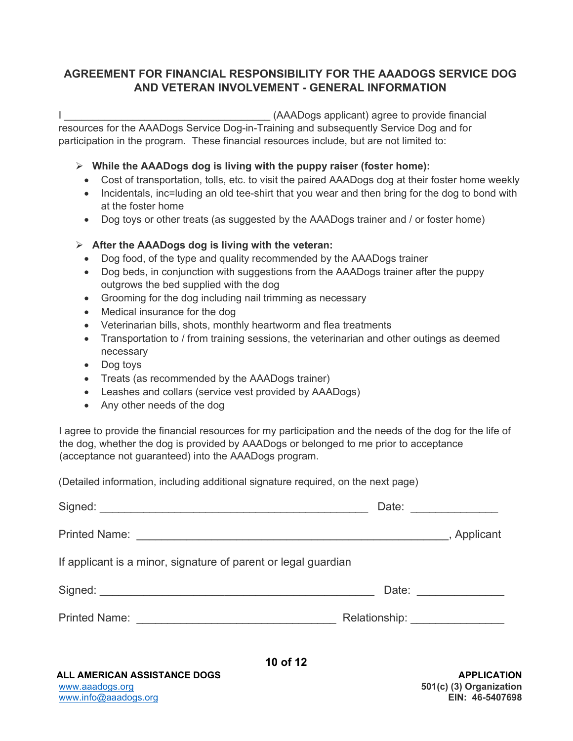### **AGREEMENT FOR FINANCIAL RESPONSIBILITY FOR THE AAADOGS SERVICE DOG AND VETERAN INVOLVEMENT - GENERAL INFORMATION**

I consider the same of the state of the state of the state of the state of the state of the state of the state of the state of the state of the state of the state of the state of the state of the state of the state of the resources for the AAADogs Service Dog-in-Training and subsequently Service Dog and for participation in the program. These financial resources include, but are not limited to:

#### **While the AAADogs dog is living with the puppy raiser (foster home):**

- Cost of transportation, tolls, etc. to visit the paired AAADogs dog at their foster home weekly
- Incidentals, inc=luding an old tee-shirt that you wear and then bring for the dog to bond with at the foster home
- Dog toys or other treats (as suggested by the AAADogs trainer and / or foster home)

#### **After the AAADogs dog is living with the veteran:**

- Dog food, of the type and quality recommended by the AAADogs trainer
- Dog beds, in conjunction with suggestions from the AAADogs trainer after the puppy outgrows the bed supplied with the dog
- Grooming for the dog including nail trimming as necessary
- Medical insurance for the dog
- Veterinarian bills, shots, monthly heartworm and flea treatments
- Transportation to / from training sessions, the veterinarian and other outings as deemed necessary
- Dog toys
- Treats (as recommended by the AAADogs trainer)
- Leashes and collars (service vest provided by AAADogs)
- Any other needs of the dog

I agree to provide the financial resources for my participation and the needs of the dog for the life of the dog, whether the dog is provided by AAADogs or belonged to me prior to acceptance (acceptance not guaranteed) into the AAADogs program.

(Detailed information, including additional signature required, on the next page)

|                                                                | Date: ______________            |                     |
|----------------------------------------------------------------|---------------------------------|---------------------|
|                                                                |                                 |                     |
| If applicant is a minor, signature of parent or legal guardian |                                 |                     |
|                                                                |                                 | Date: _____________ |
|                                                                | Relationship: _________________ |                     |
|                                                                |                                 |                     |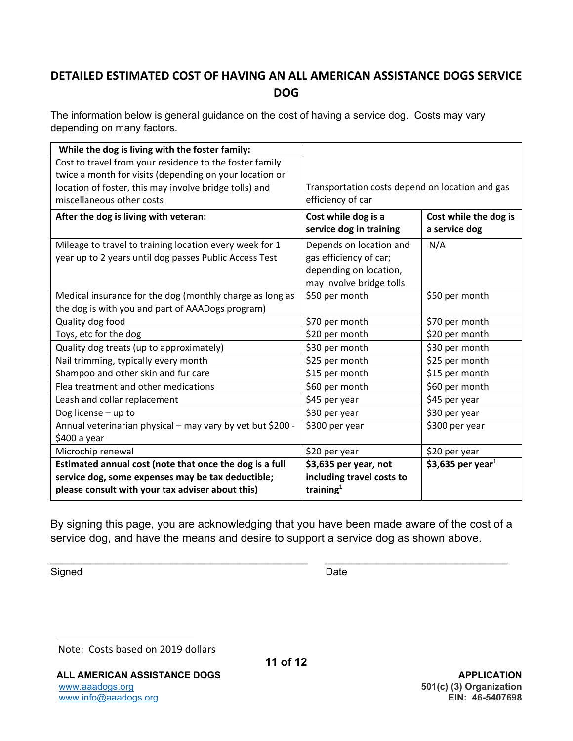## **DETAILED ESTIMATED COST OF HAVING AN ALL AMERICAN ASSISTANCE DOGS SERVICE DOG**

The information below is general guidance on the cost of having a service dog. Costs may vary depending on many factors.

| While the dog is living with the foster family:            |                                                 |                                        |  |
|------------------------------------------------------------|-------------------------------------------------|----------------------------------------|--|
| Cost to travel from your residence to the foster family    |                                                 |                                        |  |
| twice a month for visits (depending on your location or    |                                                 |                                        |  |
| location of foster, this may involve bridge tolls) and     | Transportation costs depend on location and gas |                                        |  |
| miscellaneous other costs                                  | efficiency of car                               |                                        |  |
| After the dog is living with veteran:                      | Cost while dog is a<br>service dog in training  | Cost while the dog is<br>a service dog |  |
| Mileage to travel to training location every week for 1    | Depends on location and                         | N/A                                    |  |
| year up to 2 years until dog passes Public Access Test     | gas efficiency of car;                          |                                        |  |
|                                                            | depending on location,                          |                                        |  |
|                                                            | may involve bridge tolls                        |                                        |  |
| Medical insurance for the dog (monthly charge as long as   | \$50 per month                                  | \$50 per month                         |  |
| the dog is with you and part of AAADogs program)           |                                                 |                                        |  |
| Quality dog food                                           | \$70 per month                                  | \$70 per month                         |  |
| Toys, etc for the dog                                      | \$20 per month                                  | \$20 per month                         |  |
| Quality dog treats (up to approximately)                   | \$30 per month                                  | \$30 per month                         |  |
| Nail trimming, typically every month                       | \$25 per month                                  | \$25 per month                         |  |
| Shampoo and other skin and fur care                        | \$15 per month                                  | \$15 per month                         |  |
| Flea treatment and other medications                       | \$60 per month                                  | \$60 per month                         |  |
| Leash and collar replacement                               | \$45 per year                                   | \$45 per year                          |  |
| Dog license - up to                                        | \$30 per year                                   | \$30 per year                          |  |
| Annual veterinarian physical - may vary by vet but \$200 - | \$300 per year                                  | \$300 per year                         |  |
| \$400 a year                                               |                                                 |                                        |  |
| Microchip renewal                                          | \$20 per year                                   | \$20 per year                          |  |
| Estimated annual cost (note that once the dog is a full    | \$3,635 per year, not                           | \$3,635 per year <sup>1</sup>          |  |
| service dog, some expenses may be tax deductible;          | including travel costs to                       |                                        |  |
| please consult with your tax adviser about this)           | training $1$                                    |                                        |  |

By signing this page, you are acknowledging that you have been made aware of the cost of a service dog, and have the means and desire to support a service dog as shown above.

**11 of 12**

Signed Date **Date** 

 $\overline{a}$ 

Note: Costs based on 2019 dollars

ALL AMERICAN ASSISTANCE DOGS **APPLICATION** www.aaadogs.org **501(c) (3) Organization** www.info@aaadogs.org **EIN: 46-5407698**